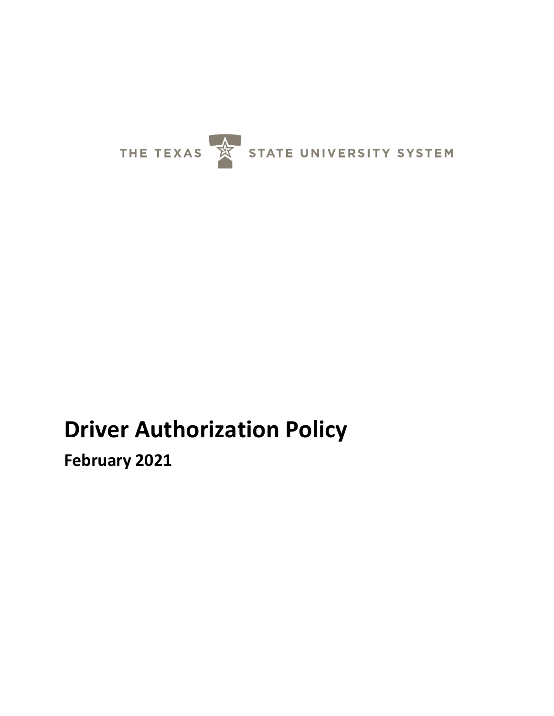

# **Driver Authorization Policy**

**February 2021**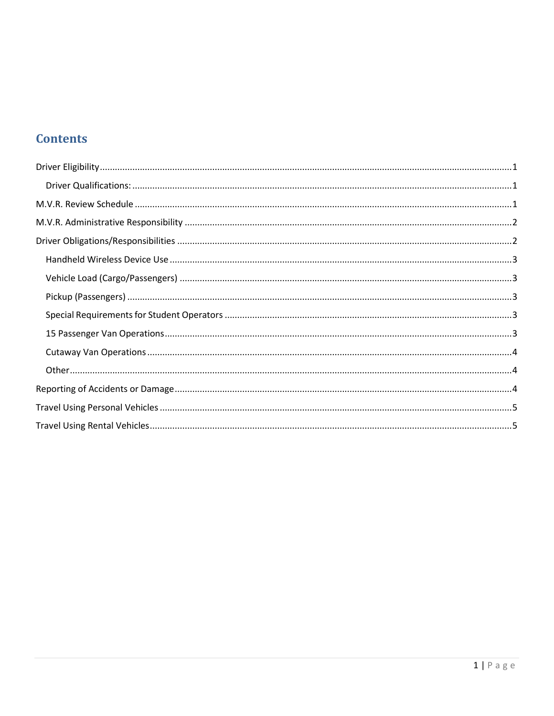# **Contents**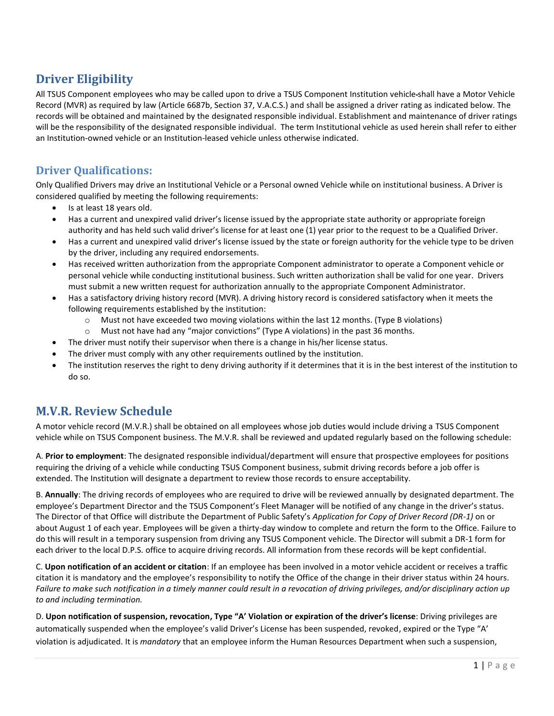# <span id="page-2-0"></span>**Driver Eligibility**

All TSUS Component employees who may be called upon to drive a TSUS Component Institution vehicle shall have a Motor Vehicle Record (MVR) as required by law (Article 6687b, Section 37, V.A.C.S.) and shall be assigned a driver rating as indicated below. The records will be obtained and maintained by the designated responsible individual. Establishment and maintenance of driver ratings will be the responsibility of the designated responsible individual. The term Institutional vehicle as used herein shall refer to either an Institution-owned vehicle or an Institution-leased vehicle unless otherwise indicated.

#### <span id="page-2-1"></span>**Driver Qualifications:**

Only Qualified Drivers may drive an Institutional Vehicle or a Personal owned Vehicle while on institutional business. A Driver is considered qualified by meeting the following requirements:

- Is at least 18 years old.
- Has a current and unexpired valid driver's license issued by the appropriate state authority or appropriate foreign authority and has held such valid driver's license for at least one (1) year prior to the request to be a Qualified Driver.
- Has a current and unexpired valid driver's license issued by the state or foreign authority for the vehicle type to be driven by the driver, including any required endorsements.
- Has received written authorization from the appropriate Component administrator to operate a Component vehicle or personal vehicle while conducting institutional business. Such written authorization shall be valid for one year. Drivers must submit a new written request for authorization annually to the appropriate Component Administrator.
- Has a satisfactory driving history record (MVR). A driving history record is considered satisfactory when it meets the following requirements established by the institution:
	- $\circ$  Must not have exceeded two moving violations within the last 12 months. (Type B violations)
	- $\circ$  Must not have had any "major convictions" (Type A violations) in the past 36 months.
- The driver must notify their supervisor when there is a change in his/her license status.
- The driver must comply with any other requirements outlined by the institution.
- The institution reserves the right to deny driving authority if it determines that it is in the best interest of the institution to do so.

# <span id="page-2-2"></span>**M.V.R. Review Schedule**

A motor vehicle record (M.V.R.) shall be obtained on all employees whose job duties would include driving a TSUS Component vehicle while on TSUS Component business. The M.V.R. shall be reviewed and updated regularly based on the following schedule:

A. **Prior to employment**: The designated responsible individual/department will ensure that prospective employees for positions requiring the driving of a vehicle while conducting TSUS Component business, submit driving records before a job offer is extended. The Institution will designate a department to review those records to ensure acceptability.

B. **Annually**: The driving records of employees who are required to drive will be reviewed annually by designated department. The employee's Department Director and the TSUS Component's Fleet Manager will be notified of any change in the driver's status. The Director of that Office will distribute the Department of Public Safety's *Application for Copy of Driver Record (DR-1)* on or about August 1 of each year. Employees will be given a thirty-day window to complete and return the form to the Office. Failure to do this will result in a temporary suspension from driving any TSUS Component vehicle. The Director will submit a DR-1 form for each driver to the local D.P.S. office to acquire driving records. All information from these records will be kept confidential.

C. **Upon notification of an accident or citation**: If an employee has been involved in a motor vehicle accident or receives a traffic citation it is mandatory and the employee's responsibility to notify the Office of the change in their driver status within 24 hours. *Failure to make such notification in a timely manner could result in a revocation of driving privileges, and/or disciplinary action up to and including termination.* 

D. **Upon notification of suspension, revocation, Type "A' Violation or expiration of the driver's license**: Driving privileges are automatically suspended when the employee's valid Driver's License has been suspended, revoked, expired or the Type "A' violation is adjudicated. It is *mandatory* that an employee inform the Human Resources Department when such a suspension,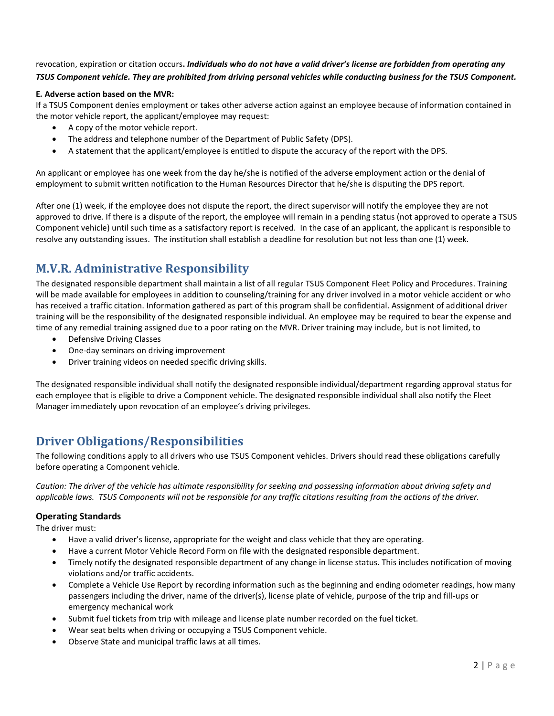revocation, expiration or citation occurs**.** *Individuals who do not have a valid driver's license are forbidden from operating any TSUS Component vehicle. They are prohibited from driving personal vehicles while conducting business for the TSUS Component.*

#### **E***.* **Adverse action based on the MVR:**

If a TSUS Component denies employment or takes other adverse action against an employee because of information contained in the motor vehicle report, the applicant/employee may request:

- A copy of the motor vehicle report.
- The address and telephone number of the Department of Public Safety (DPS).
- A statement that the applicant/employee is entitled to dispute the accuracy of the report with the DPS.

An applicant or employee has one week from the day he/she is notified of the adverse employment action or the denial of employment to submit written notification to the Human Resources Director that he/she is disputing the DPS report.

After one (1) week, if the employee does not dispute the report, the direct supervisor will notify the employee they are not approved to drive. If there is a dispute of the report, the employee will remain in a pending status (not approved to operate a TSUS Component vehicle) until such time as a satisfactory report is received. In the case of an applicant, the applicant is responsible to resolve any outstanding issues. The institution shall establish a deadline for resolution but not less than one (1) week.

# <span id="page-3-0"></span>**M.V.R. Administrative Responsibility**

The designated responsible department shall maintain a list of all regular TSUS Component Fleet Policy and Procedures. Training will be made available for employees in addition to counseling/training for any driver involved in a motor vehicle accident or who has received a traffic citation. Information gathered as part of this program shall be confidential. Assignment of additional driver training will be the responsibility of the designated responsible individual. An employee may be required to bear the expense and time of any remedial training assigned due to a poor rating on the MVR. Driver training may include, but is not limited, to

- Defensive Driving Classes
- One-day seminars on driving improvement
- Driver training videos on needed specific driving skills.

The designated responsible individual shall notify the designated responsible individual/department regarding approval status for each employee that is eligible to drive a Component vehicle. The designated responsible individual shall also notify the Fleet Manager immediately upon revocation of an employee's driving privileges.

## <span id="page-3-1"></span>**Driver Obligations/Responsibilities**

The following conditions apply to all drivers who use TSUS Component vehicles. Drivers should read these obligations carefully before operating a Component vehicle.

*Caution: The driver of the vehicle has ultimate responsibility for seeking and possessing information about driving safety and applicable laws. TSUS Components will not be responsible for any traffic citations resulting from the actions of the driver.* 

#### **Operating Standards**

The driver must:

- Have a valid driver's license, appropriate for the weight and class vehicle that they are operating.
- Have a current Motor Vehicle Record Form on file with the designated responsible department.
- Timely notify the designated responsible department of any change in license status. This includes notification of moving violations and/or traffic accidents.
- Complete a Vehicle Use Report by recording information such as the beginning and ending odometer readings, how many passengers including the driver, name of the driver(s), license plate of vehicle, purpose of the trip and fill-ups or emergency mechanical work
- Submit fuel tickets from trip with mileage and license plate number recorded on the fuel ticket.
- Wear seat belts when driving or occupying a TSUS Component vehicle.
- Observe State and municipal traffic laws at all times.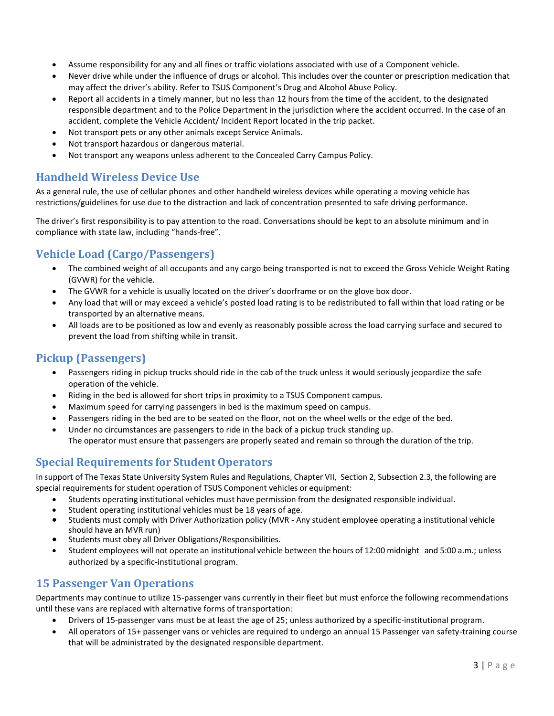- Assume responsibility for any and all fines or traffic violations associated with use of a Component vehicle.
- Never drive while under the influence of drugs or alcohol. This includes over the counter or prescription medication that may affect the driver's ability. Refer to TSUS Component's Drug and Alcohol Abuse Policy.
- Report all accidents in a timely manner, but no less than 12 hours from the time of the accident, to the designated responsible department and to the Police Department in the jurisdiction where the accident occurred. In the case of an accident, complete the Vehicle Accident/ Incident Report located in the trip packet.
- Not transport pets or any other animals except Service Animals.
- Not transport hazardous or dangerous material.
- Not transport any weapons unless adherent to the Concealed Carry Campus Policy.

#### <span id="page-4-0"></span>**Handheld Wireless Device Use**

As a general rule, the use of cellular phones and other handheld wireless devices while operating a moving vehicle has restrictions/guidelines for use due to the distraction and lack of concentration presented to safe driving performance.

The driver's first responsibility is to pay attention to the road. Conversations should be kept to an absolute minimum and in compliance with state law, including "hands-free".

#### <span id="page-4-1"></span>**Vehicle Load (Cargo/Passengers)**

- The combined weight of all occupants and any cargo being transported is not to exceed the Gross Vehicle Weight Rating (GVWR) for the vehicle.
- The GVWR for a vehicle is usually located on the driver's doorframe or on the glove box door.
- Any load that will or may exceed a vehicle's posted load rating is to be redistributed to fall within that load rating or be transported by an alternative means.
- All loads are to be positioned as low and evenly as reasonably possible across the load carrying surface and secured to prevent the load from shifting while in transit.

#### <span id="page-4-2"></span>**Pickup (Passengers)**

- Passengers riding in pickup trucks should ride in the cab of the truck unless it would seriously jeopardize the safe operation of the vehicle.
- Riding in the bed is allowed for short trips in proximity to a TSUS Component campus.
- Maximum speed for carrying passengers in bed is the maximum speed on campus.
- Passengers riding in the bed are to be seated on the floor, not on the wheel wells or the edge of the bed.
- Under no circumstances are passengers to ride in the back of a pickup truck standing up. The operator must ensure that passengers are properly seated and remain so through the duration of the trip.

#### <span id="page-4-3"></span>**Special Requirements for Student Operators**

In support of The Texas State University System Rules and Regulations, Chapter VII, Section 2, Subsection 2.3, the following are special requirements for student operation of TSUS Component vehicles or equipment:

- Students operating institutional vehicles must have permission from the designated responsible individual.
- Student operating institutional vehicles must be 18 years of age.
- Students must comply with Driver Authorization policy (MVR Any student employee operating a institutional vehicle should have an MVR run)
- Students must obey all Driver Obligations/Responsibilities.
- Student employees will not operate an institutional vehicle between the hours of 12:00 midnight and 5:00 a.m.; unless authorized by a specific-institutional program.

#### <span id="page-4-4"></span>**15 Passenger Van Operations**

Departments may continue to utilize 15-passenger vans currently in their fleet but must enforce the following recommendations until these vans are replaced with alternative forms of transportation:

- Drivers of 15-passenger vans must be at least the age of 25; unless authorized by a specific-institutional program.
- All operators of 15+ passenger vans or vehicles are required to undergo an annual 15 Passenger van safety-training course that will be administrated by the designated responsible department.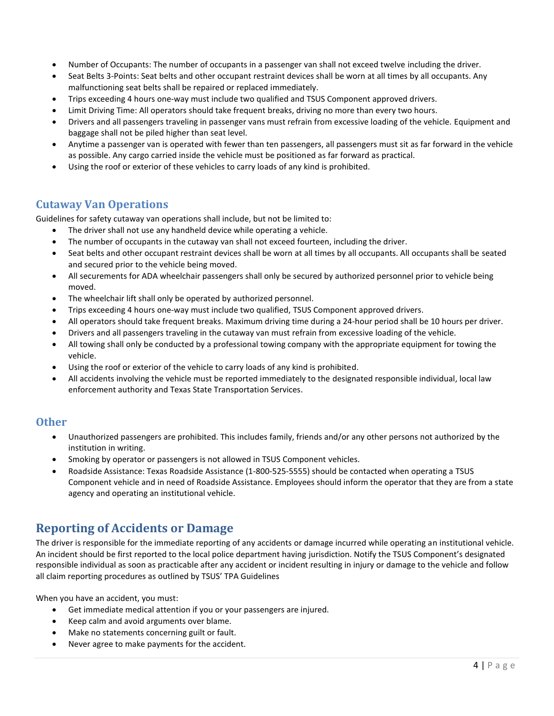- Number of Occupants: The number of occupants in a passenger van shall not exceed twelve including the driver.
- Seat Belts 3-Points: Seat belts and other occupant restraint devices shall be worn at all times by all occupants. Any malfunctioning seat belts shall be repaired or replaced immediately.
- Trips exceeding 4 hours one-way must include two qualified and TSUS Component approved drivers.
- Limit Driving Time: All operators should take frequent breaks, driving no more than every two hours.
- Drivers and all passengers traveling in passenger vans must refrain from excessive loading of the vehicle. Equipment and baggage shall not be piled higher than seat level.
- Anytime a passenger van is operated with fewer than ten passengers, all passengers must sit as far forward in the vehicle as possible. Any cargo carried inside the vehicle must be positioned as far forward as practical.
- Using the roof or exterior of these vehicles to carry loads of any kind is prohibited.

#### <span id="page-5-0"></span>**Cutaway Van Operations**

Guidelines for safety cutaway van operations shall include, but not be limited to:

- The driver shall not use any handheld device while operating a vehicle.
- The number of occupants in the cutaway van shall not exceed fourteen, including the driver.
- Seat belts and other occupant restraint devices shall be worn at all times by all occupants. All occupants shall be seated and secured prior to the vehicle being moved.
- All securements for ADA wheelchair passengers shall only be secured by authorized personnel prior to vehicle being moved.
- The wheelchair lift shall only be operated by authorized personnel.
- Trips exceeding 4 hours one-way must include two qualified, TSUS Component approved drivers.
- All operators should take frequent breaks. Maximum driving time during a 24-hour period shall be 10 hours per driver.
- Drivers and all passengers traveling in the cutaway van must refrain from excessive loading of the vehicle.
- All towing shall only be conducted by a professional towing company with the appropriate equipment for towing the vehicle.
- Using the roof or exterior of the vehicle to carry loads of any kind is prohibited.
- All accidents involving the vehicle must be reported immediately to the designated responsible individual, local law enforcement authority and Texas State Transportation Services.

#### <span id="page-5-1"></span>**Other**

- Unauthorized passengers are prohibited. This includes family, friends and/or any other persons not authorized by the institution in writing.
- Smoking by operator or passengers is not allowed in TSUS Component vehicles.
- Roadside Assistance: Texas Roadside Assistance (1-800-525-5555) should be contacted when operating a TSUS Component vehicle and in need of Roadside Assistance. Employees should inform the operator that they are from a state agency and operating an institutional vehicle.

## <span id="page-5-2"></span>**Reporting of Accidents or Damage**

The driver is responsible for the immediate reporting of any accidents or damage incurred while operating an institutional vehicle. An incident should be first reported to the local police department having jurisdiction. Notify the TSUS Component's designated responsible individual as soon as practicable after any accident or incident resulting in injury or damage to the vehicle and follow all claim reporting procedures as outlined by TSUS' TPA Guidelines

When you have an accident, you must:

- Get immediate medical attention if you or your passengers are injured.
- Keep calm and avoid arguments over blame.
- Make no statements concerning guilt or fault.
- Never agree to make payments for the accident.